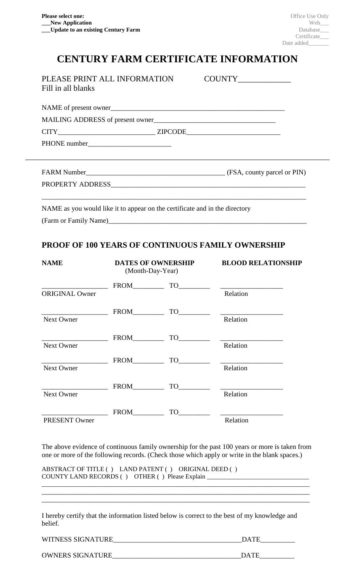## **CENTURY FARM CERTIFICATE INFORMATION**

| PLEASE PRINT ALL INFORMATION<br>Fill in all blanks |  |
|----------------------------------------------------|--|
|                                                    |  |
| MAILING ADDRESS of present owner                   |  |
|                                                    |  |
|                                                    |  |
|                                                    |  |
|                                                    |  |
|                                                    |  |
|                                                    |  |

NAME as you would like it to appear on the certificate and in the directory (Farm or Family Name)\_\_\_\_\_\_\_\_\_\_\_\_\_\_\_\_\_\_\_\_\_\_\_\_\_\_\_\_\_\_\_\_\_\_\_\_\_\_\_\_\_\_\_\_\_\_\_\_\_\_\_\_\_\_\_\_\_

## **PROOF OF 100 YEARS OF CONTINUOUS FAMILY OWNERSHIP**

| <b>NAME</b>                                      | <b>DATES OF OWNERSHIP</b><br>(Month-Day-Year) |       | <b>BLOOD RELATIONSHIP</b>                                                                                                                                                                                                                                                                                                                                                                   |
|--------------------------------------------------|-----------------------------------------------|-------|---------------------------------------------------------------------------------------------------------------------------------------------------------------------------------------------------------------------------------------------------------------------------------------------------------------------------------------------------------------------------------------------|
|                                                  |                                               |       | $TO$ and a set of $Q$ and $Q$ and $Q$ and $Q$ and $Q$ and $Q$ and $Q$ and $Q$ and $Q$ and $Q$ and $Q$ and $Q$ and $Q$ and $Q$ and $Q$ and $Q$ and $Q$ and $Q$ and $Q$ and $Q$ and $Q$ and $Q$ and $Q$ and $Q$ and $Q$ and $Q$                                                                                                                                                               |
| <b>ORIGINAL Owner</b>                            |                                               |       | Relation                                                                                                                                                                                                                                                                                                                                                                                    |
| the control of the control of the control of     | <b>FROM</b>                                   | TO T  |                                                                                                                                                                                                                                                                                                                                                                                             |
| <b>Next Owner</b>                                |                                               |       | Relation                                                                                                                                                                                                                                                                                                                                                                                    |
| the control of the control of the control of the | FROM                                          |       | $\begin{tabular}{c} \n  TO \n  \n  & \n  \n  & \n  \n  & \n  \n  & \n  \n  & \n  \n  & \n  \n  & \n  \n  & \n  \n  & \n  \n  & \n  \n  & \n  \n  & \n  \n  & \n  \n  & \n  \n  & \n  \n  & \n  \n  & \n  \n  & \n  \n  & \n  \n  & \n  \n  & \n  \n  & \n  \n  & \n  \n  & \n  \n  & \n  \n  & \n  \n  & \n  \n  & \n  \n  & \n  \n$                                                        |
| Next Owner                                       |                                               |       | Relation                                                                                                                                                                                                                                                                                                                                                                                    |
|                                                  | $FROM$ <sub>___________</sub>                 | TO    | <u> 1989 - Johann John Stone, mars eta industrial eta industrial eta industrial eta industrial eta industrial e</u>                                                                                                                                                                                                                                                                         |
| <b>Next Owner</b>                                |                                               |       | Relation                                                                                                                                                                                                                                                                                                                                                                                    |
|                                                  | <b>FROM</b>                                   |       | $\begin{picture}(150,10) \put(0,0){\dashbox{0.5}(10,0){ }} \put(15,0){\circle{10}} \put(15,0){\circle{10}} \put(15,0){\circle{10}} \put(15,0){\circle{10}} \put(15,0){\circle{10}} \put(15,0){\circle{10}} \put(15,0){\circle{10}} \put(15,0){\circle{10}} \put(15,0){\circle{10}} \put(15,0){\circle{10}} \put(15,0){\circle{10}} \put(15,0){\circle{10}} \put(15,0){\circle{10}} \put(15$ |
| <b>Next Owner</b>                                |                                               |       | Relation                                                                                                                                                                                                                                                                                                                                                                                    |
|                                                  | <b>FROM</b>                                   | TO TO |                                                                                                                                                                                                                                                                                                                                                                                             |
| PRESENT Owner                                    |                                               |       | Relation                                                                                                                                                                                                                                                                                                                                                                                    |

The above evidence of continuous family ownership for the past 100 years or more is taken from one or more of the following records. (Check those which apply or write in the blank spaces.)

\_\_\_\_\_\_\_\_\_\_\_\_\_\_\_\_\_\_\_\_\_\_\_\_\_\_\_\_\_\_\_\_\_\_\_\_\_\_\_\_\_\_\_\_\_\_\_\_\_\_\_\_\_\_\_\_\_\_\_\_\_\_\_\_\_\_\_\_\_\_\_\_\_\_\_\_\_\_\_\_\_\_\_\_ \_\_\_\_\_\_\_\_\_\_\_\_\_\_\_\_\_\_\_\_\_\_\_\_\_\_\_\_\_\_\_\_\_\_\_\_\_\_\_\_\_\_\_\_\_\_\_\_\_\_\_\_\_\_\_\_\_\_\_\_\_\_\_\_\_\_\_\_\_\_\_\_\_\_\_\_\_ \_\_\_\_\_\_\_\_\_\_\_\_\_\_\_\_\_\_\_\_\_\_\_\_\_\_\_\_\_\_\_\_\_\_\_\_\_\_\_\_\_\_\_\_\_\_\_\_\_\_\_\_\_\_\_\_\_\_\_\_\_\_\_\_\_\_\_\_\_\_\_\_\_\_\_\_\_

ABSTRACT OF TITLE ( ) LAND PATENT ( ) ORIGINAL DEED ( ) COUNTY LAND RECORDS ( ) OTHER ( ) Please Explain \_\_\_\_\_\_\_\_\_\_\_\_\_\_\_\_\_\_\_\_\_\_\_\_\_\_\_\_\_\_\_

I hereby certify that the information listed below is correct to the best of my knowledge and belief.

| WITNESS SIGNATURE | DATE |
|-------------------|------|
|                   |      |

OWNERS SIGNATURE\_\_\_\_\_\_\_\_\_\_\_\_\_\_\_\_\_\_\_\_\_\_\_\_\_\_\_\_\_\_\_\_\_\_\_\_\_DATE\_\_\_\_\_\_\_\_\_\_